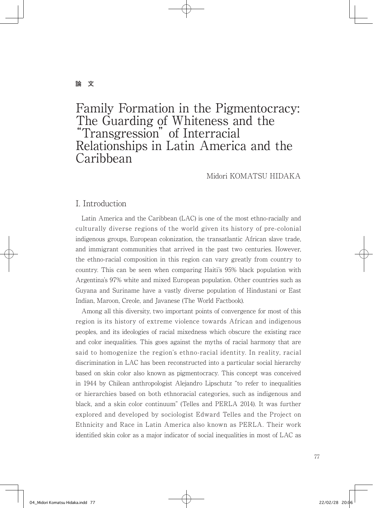## **論 文**

# Family Formation in the Pigmentocracy: The Guarding of Whiteness and the "Transgression" of Interracial Relationships in Latin America and the Caribbean

Midori KOMATSU HIDAKA

## I. Introduction

 Latin America and the Caribbean (LAC) is one of the most ethno-racially and culturally diverse regions of the world given its history of pre-colonial indigenous groups, European colonization, the transatlantic African slave trade, and immigrant communities that arrived in the past two centuries. However, the ethno-racial composition in this region can vary greatly from country to country. This can be seen when comparing Haiti's 95% black population with Argentina's 97% white and mixed European population. Other countries such as Guyana and Suriname have a vastly diverse population of Hindustani or East Indian, Maroon, Creole, and Javanese (The World Factbook).

 Among all this diversity, two important points of convergence for most of this region is its history of extreme violence towards African and indigenous peoples, and its ideologies of racial mixedness which obscure the existing race and color inequalities. This goes against the myths of racial harmony that are said to homogenize the region's ethno-racial identity. In reality, racial discrimination in LAC has been reconstructed into a particular social hierarchy based on skin color also known as pigmentocracy. This concept was conceived in 1944 by Chilean anthropologist Alejandro Lipschutz "to refer to inequalities or hierarchies based on both ethnoracial categories, such as indigenous and black, and a skin color continuum" (Telles and PERLA 2014). It was further explored and developed by sociologist Edward Telles and the Project on Ethnicity and Race in Latin America also known as PERLA. Their work identified skin color as a major indicator of social inequalities in most of LAC as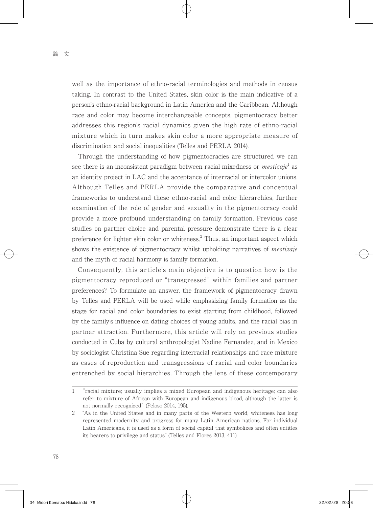well as the importance of ethno-racial terminologies and methods in census taking. In contrast to the United States, skin color is the main indicative of a person's ethno-racial background in Latin America and the Caribbean. Although race and color may become interchangeable concepts, pigmentocracy better addresses this region's racial dynamics given the high rate of ethno-racial mixture which in turn makes skin color a more appropriate measure of discrimination and social inequalities (Telles and PERLA 2014).

 Through the understanding of how pigmentocracies are structured we can see there is an inconsistent paradigm between racial mixedness or  $\textit{mestizaje}^1$  as an identity project in LAC and the acceptance of interracial or intercolor unions. Although Telles and PERLA provide the comparative and conceptual frameworks to understand these ethno-racial and color hierarchies, further examination of the role of gender and sexuality in the pigmentocracy could provide a more profound understanding on family formation. Previous case studies on partner choice and parental pressure demonstrate there is a clear preference for lighter skin color or whiteness.<sup>2</sup> Thus, an important aspect which shows the existence of pigmentocracy whilst upholding narratives of *mestizaje* and the myth of racial harmony is family formation.

 Consequently, this article's main objective is to question how is the pigmentocracy reproduced or "transgressed" within families and partner preferences? To formulate an answer, the framework of pigmentocracy drawn by Telles and PERLA will be used while emphasizing family formation as the stage for racial and color boundaries to exist starting from childhood, followed by the family's influence on dating choices of young adults, and the racial bias in partner attraction. Furthermore, this article will rely on previous studies conducted in Cuba by cultural anthropologist Nadine Fernandez, and in Mexico by sociologist Christina Sue regarding interracial relationships and race mixture as cases of reproduction and transgressions of racial and color boundaries entrenched by social hierarchies. Through the lens of these contemporary

<sup>1</sup> "racial mixture; usually implies a mixed European and indigenous heritage; can also refer to mixture of African with European and indigenous blood, although the latter is not normally recognized" (Peloso 2014, 195).

<sup>2</sup> "As in the United States and in many parts of the Western world, whiteness has long represented modernity and progress for many Latin American nations. For individual Latin Americans, it is used as a form of social capital that symbolizes and often entitles its bearers to privilege and status" (Telles and Flores 2013, 411)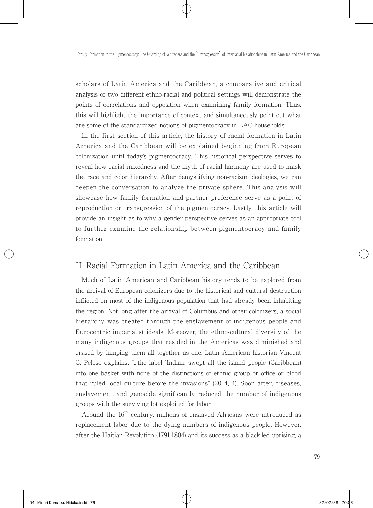scholars of Latin America and the Caribbean, a comparative and critical analysis of two different ethno-racial and political settings will demonstrate the points of correlations and opposition when examining family formation. Thus, this will highlight the importance of context and simultaneously point out what are some of the standardized notions of pigmentocracy in LAC households.

 In the first section of this article, the history of racial formation in Latin America and the Caribbean will be explained beginning from European colonization until today's pigmentocracy. This historical perspective serves to reveal how racial mixedness and the myth of racial harmony are used to mask the race and color hierarchy. After demystifying non-racism ideologies, we can deepen the conversation to analyze the private sphere. This analysis will showcase how family formation and partner preference serve as a point of reproduction or transgression of the pigmentocracy. Lastly, this article will provide an insight as to why a gender perspective serves as an appropriate tool to further examine the relationship between pigmentocracy and family formation.

## II. Racial Formation in Latin America and the Caribbean

 Much of Latin American and Caribbean history tends to be explored from the arrival of European colonizers due to the historical and cultural destruction inflicted on most of the indigenous population that had already been inhabiting the region. Not long after the arrival of Columbus and other colonizers, a social hierarchy was created through the enslavement of indigenous people and Eurocentric imperialist ideals. Moreover, the ethno-cultural diversity of the many indigenous groups that resided in the Americas was diminished and erased by lumping them all together as one. Latin American historian Vincent C. Peloso explains, "...the label 'Indian' swept all the island people (Caribbean) into one basket with none of the distinctions of ethnic group or office or blood that ruled local culture before the invasions" (2014, 4). Soon after, diseases, enslavement, and genocide significantly reduced the number of indigenous groups with the surviving lot exploited for labor.

Around the  $16<sup>th</sup>$  century, millions of enslaved Africans were introduced as replacement labor due to the dying numbers of indigenous people. However, after the Haitian Revolution (1791-1804) and its success as a black-led uprising, a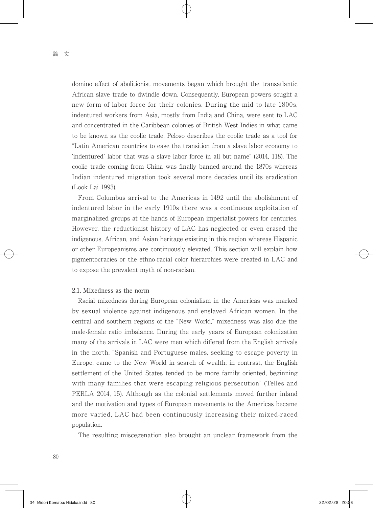domino effect of abolitionist movements began which brought the transatlantic African slave trade to dwindle down. Consequently, European powers sought a new form of labor force for their colonies. During the mid to late 1800s, indentured workers from Asia, mostly from India and China, were sent to LAC and concentrated in the Caribbean colonies of British West Indies in what came to be known as the coolie trade. Peloso describes the coolie trade as a tool for "Latin American countries to ease the transition from a slave labor economy to 'indentured' labor that was a slave labor force in all but name" (2014, 118). The coolie trade coming from China was finally banned around the 1870s whereas Indian indentured migration took several more decades until its eradication (Look Lai 1993).

 From Columbus arrival to the Americas in 1492 until the abolishment of indentured labor in the early 1910s there was a continuous exploitation of marginalized groups at the hands of European imperialist powers for centuries. However, the reductionist history of LAC has neglected or even erased the indigenous, African, and Asian heritage existing in this region whereas Hispanic or other Europeanisms are continuously elevated. This section will explain how pigmentocracies or the ethno-racial color hierarchies were created in LAC and to expose the prevalent myth of non-racism.

#### 2.1. Mixedness as the norm

 Racial mixedness during European colonialism in the Americas was marked by sexual violence against indigenous and enslaved African women. In the central and southern regions of the "New World," mixedness was also due the male-female ratio imbalance. During the early years of European colonization many of the arrivals in LAC were men which differed from the English arrivals in the north. "Spanish and Portuguese males, seeking to escape poverty in Europe, came to the New World in search of wealth; in contrast, the English settlement of the United States tended to be more family oriented, beginning with many families that were escaping religious persecution" (Telles and PERLA 2014, 15). Although as the colonial settlements moved further inland and the motivation and types of European movements to the Americas became more varied, LAC had been continuously increasing their mixed-raced population.

The resulting miscegenation also brought an unclear framework from the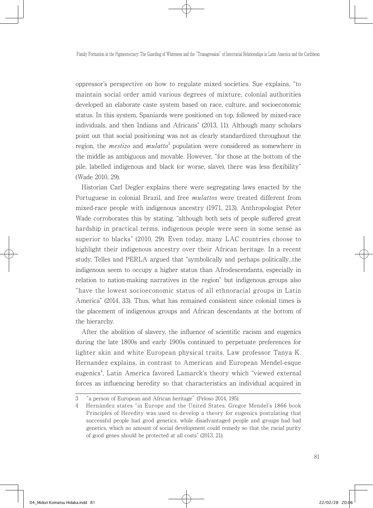oppressor's perspective on how to regulate mixed societies. Sue explains, "to maintain social order amid various degrees of mixture, colonial authorities developed an elaborate caste system based on race, culture, and socioeconomic status. In this system, Spaniards were positioned on top, followed by mixed-race individuals, and then Indians and Africans" (2013, 11). Although many scholars point out that social positioning was not as clearly standardized throughout the region, the *mestizo* and  $mulator^3$  population were considered as somewhere in the middle as ambiguous and movable. However, "for those at the bottom of the pile, labelled indigenous and black (or worse, slave), there was less flexibility" (Wade 2010, 29).

 Historian Carl Degler explains there were segregating laws enacted by the Portuguese in colonial Brazil, and free *mulattos* were treated different from mixed-race people with indigenous ancestry (1971, 213). Anthropologist Peter Wade corroborates this by stating, "although both sets of people suffered great hardship in practical terms, indigenous people were seen in some sense as superior to blacks" (2010, 29). Even today, many LAC countries choose to highlight their indigenous ancestry over their African heritage. In a recent study, Telles and PERLA argued that "symbolically and perhaps politically...the indigenous seem to occupy a higher status than Afrodescendants, especially in relation to nation-making narratives in the region" but indigenous groups also "have the lowest socioeconomic status of all ethnoracial groups in Latin America" (2014, 33). Thus, what has remained consistent since colonial times is the placement of indigenous groups and African descendants at the bottom of the hierarchy.

 After the abolition of slavery, the influence of scientific racism and eugenics during the late 1800s and early 1900s continued to perpetuate preferences for lighter skin and white European physical traits. Law professor Tanya K. Hernandez explains, in contrast to American and European Mendel-esque eugenics<sup>4</sup>, Latin America favored Lamarck's theory which "viewed external forces as influencing heredity so that characteristics an individual acquired in

<sup>3</sup> "a person of European and African heritage" (Peloso 2014, 195).

<sup>4</sup> Hernández states "in Europe and the United States, Gregor Mendel's 1866 book Principles of Heredity was used to develop a theory for eugenics postulating that successful people had good genetics, while disadvantaged people and groups had bad genetics, which no amount of social development could remedy so that the racial purity of good genes should be protected at all costs" (2013, 21).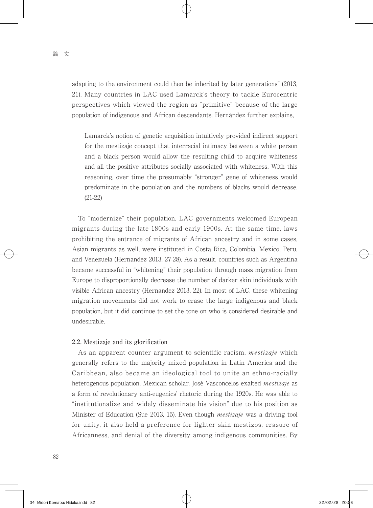adapting to the environment could then be inherited by later generations" (2013, 21). Many countries in LAC used Lamarck's theory to tackle Eurocentric perspectives which viewed the region as "primitive" because of the large population of indigenous and African descendants. Hernández further explains,

Lamarck's notion of genetic acquisition intuitively provided indirect support for the mestizaje concept that interracial intimacy between a white person and a black person would allow the resulting child to acquire whiteness and all the positive attributes socially associated with whiteness. With this reasoning, over time the presumably "stronger" gene of whiteness would predominate in the population and the numbers of blacks would decrease. (21-22)

 To "modernize" their population, LAC governments welcomed European migrants during the late 1800s and early 1900s. At the same time, laws prohibiting the entrance of migrants of African ancestry and in some cases, Asian migrants as well, were instituted in Costa Rica, Colombia, Mexico, Peru, and Venezuela (Hernandez 2013, 27-28). As a result, countries such as Argentina became successful in "whitening" their population through mass migration from Europe to disproportionally decrease the number of darker skin individuals with visible African ancestry (Hernandez 2013, 22). In most of LAC, these whitening migration movements did not work to erase the large indigenous and black population, but it did continue to set the tone on who is considered desirable and undesirable.

### 2.2. Mestizaje and its glorification

As an apparent counter argument to scientific racism, *mestizaje* which generally refers to the majority mixed population in Latin America and the Caribbean, also became an ideological tool to unite an ethno-racially heterogenous population. Mexican scholar, José Vasconcelos exalted *mestizaje* as a form of revolutionary anti-eugenics' rhetoric during the 1920s. He was able to "institutionalize and widely disseminate his vision" due to his position as Minister of Education (Sue 2013, 15). Even though mestizaje was a driving tool for unity, it also held a preference for lighter skin mestizos, erasure of Africanness, and denial of the diversity among indigenous communities. By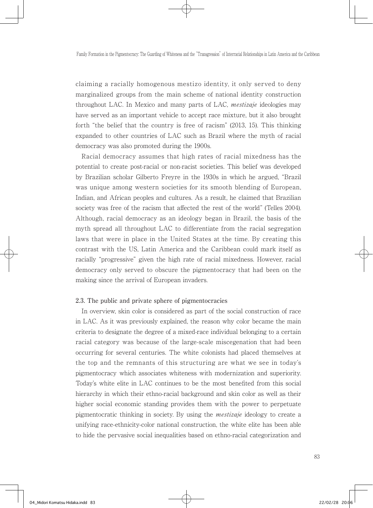claiming a racially homogenous mestizo identity, it only served to deny marginalized groups from the main scheme of national identity construction throughout LAC. In Mexico and many parts of LAC, mestizaje ideologies may have served as an important vehicle to accept race mixture, but it also brought forth "the belief that the country is free of racism" (2013, 15). This thinking expanded to other countries of LAC such as Brazil where the myth of racial democracy was also promoted during the 1900s.

 Racial democracy assumes that high rates of racial mixedness has the potential to create post-racial or non-racist societies. This belief was developed by Brazilian scholar Gilberto Freyre in the 1930s in which he argued, "Brazil was unique among western societies for its smooth blending of European, Indian, and African peoples and cultures. As a result, he claimed that Brazilian society was free of the racism that affected the rest of the world" (Telles 2004). Although, racial democracy as an ideology began in Brazil, the basis of the myth spread all throughout LAC to differentiate from the racial segregation laws that were in place in the United States at the time. By creating this contrast with the US, Latin America and the Caribbean could mark itself as racially "progressive" given the high rate of racial mixedness. However, racial democracy only served to obscure the pigmentocracy that had been on the making since the arrival of European invaders.

#### 2.3. The public and private sphere of pigmentocracies

 In overview, skin color is considered as part of the social construction of race in LAC. As it was previously explained, the reason why color became the main criteria to designate the degree of a mixed-race individual belonging to a certain racial category was because of the large-scale miscegenation that had been occurring for several centuries. The white colonists had placed themselves at the top and the remnants of this structuring are what we see in today's pigmentocracy which associates whiteness with modernization and superiority. Today's white elite in LAC continues to be the most benefited from this social hierarchy in which their ethno-racial background and skin color as well as their higher social economic standing provides them with the power to perpetuate pigmentocratic thinking in society. By using the mestizaje ideology to create a unifying race-ethnicity-color national construction, the white elite has been able to hide the pervasive social inequalities based on ethno-racial categorization and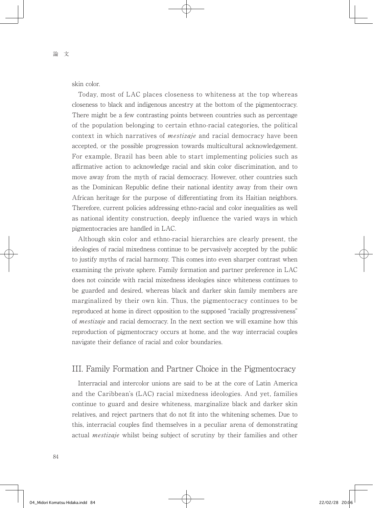skin color.

 Today, most of LAC places closeness to whiteness at the top whereas closeness to black and indigenous ancestry at the bottom of the pigmentocracy. There might be a few contrasting points between countries such as percentage of the population belonging to certain ethno-racial categories, the political context in which narratives of *mestizaje* and racial democracy have been accepted, or the possible progression towards multicultural acknowledgement. For example, Brazil has been able to start implementing policies such as affirmative action to acknowledge racial and skin color discrimination, and to move away from the myth of racial democracy. However, other countries such as the Dominican Republic define their national identity away from their own African heritage for the purpose of differentiating from its Haitian neighbors. Therefore, current policies addressing ethno-racial and color inequalities as well as national identity construction, deeply influence the varied ways in which pigmentocracies are handled in LAC.

 Although skin color and ethno-racial hierarchies are clearly present, the ideologies of racial mixedness continue to be pervasively accepted by the public to justify myths of racial harmony. This comes into even sharper contrast when examining the private sphere. Family formation and partner preference in LAC does not coincide with racial mixedness ideologies since whiteness continues to be guarded and desired, whereas black and darker skin family members are marginalized by their own kin. Thus, the pigmentocracy continues to be reproduced at home in direct opposition to the supposed "racially progressiveness" of mestizaje and racial democracy. In the next section we will examine how this reproduction of pigmentocracy occurs at home, and the way interracial couples navigate their defiance of racial and color boundaries.

## III. Family Formation and Partner Choice in the Pigmentocracy

 Interracial and intercolor unions are said to be at the core of Latin America and the Caribbean's (LAC) racial mixedness ideologies. And yet, families continue to guard and desire whiteness, marginalize black and darker skin relatives, and reject partners that do not fit into the whitening schemes. Due to this, interracial couples find themselves in a peculiar arena of demonstrating actual mestizaje whilst being subject of scrutiny by their families and other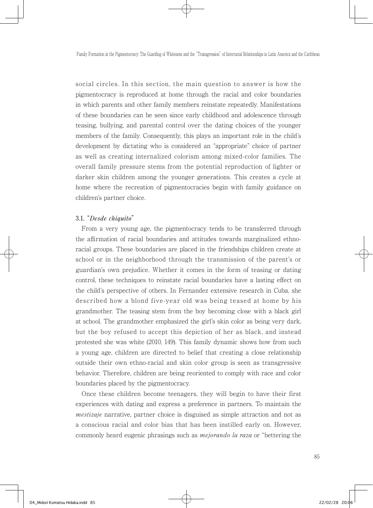social circles. In this section, the main question to answer is how the pigmentocracy is reproduced at home through the racial and color boundaries in which parents and other family members reinstate repeatedly. Manifestations of these boundaries can be seen since early childhood and adolescence through teasing, bullying, and parental control over the dating choices of the younger members of the family. Consequently, this plays an important role in the child's development by dictating who is considered an "appropriate" choice of partner as well as creating internalized colorism among mixed-color families. The overall family pressure stems from the potential reproduction of lighter or darker skin children among the younger generations. This creates a cycle at home where the recreation of pigmentocracies begin with family guidance on children's partner choice.

#### 3.1. "Desde chiquito"

 From a very young age, the pigmentocracy tends to be transferred through the affirmation of racial boundaries and attitudes towards marginalized ethnoracial groups. These boundaries are placed in the friendships children create at school or in the neighborhood through the transmission of the parent's or guardian's own prejudice. Whether it comes in the form of teasing or dating control, these techniques to reinstate racial boundaries have a lasting effect on the child's perspective of others. In Fernandez extensive research in Cuba, she described how a blond five-year old was being teased at home by his grandmother. The teasing stem from the boy becoming close with a black girl at school. The grandmother emphasized the girl's skin color as being very dark, but the boy refused to accept this depiction of her as black, and instead protested she was white (2010, 149). This family dynamic shows how from such a young age, children are directed to belief that creating a close relationship outside their own ethno-racial and skin color group is seen as transgressive behavior. Therefore, children are being reoriented to comply with race and color boundaries placed by the pigmentocracy.

 Once these children become teenagers, they will begin to have their first experiences with dating and express a preference in partners. To maintain the mestizaje narrative, partner choice is disguised as simple attraction and not as a conscious racial and color bias that has been instilled early on. However, commonly heard eugenic phrasings such as *mejorando la raza* or "bettering the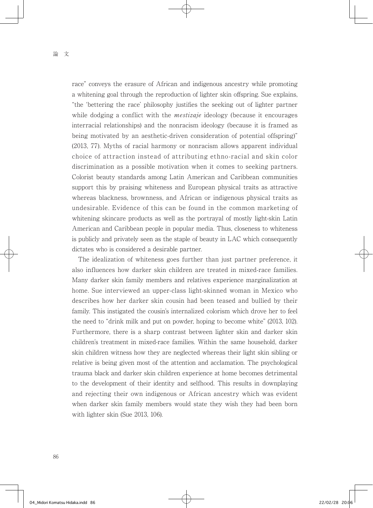race" conveys the erasure of African and indigenous ancestry while promoting a whitening goal through the reproduction of lighter skin offspring. Sue explains, "the 'bettering the race' philosophy justifies the seeking out of lighter partner while dodging a conflict with the *mestizaje* ideology (because it encourages interracial relationships) and the nonracism ideology (because it is framed as being motivated by an aesthetic-driven consideration of potential offspring)" (2013, 77). Myths of racial harmony or nonracism allows apparent individual choice of attraction instead of attributing ethno-racial and skin color discrimination as a possible motivation when it comes to seeking partners. Colorist beauty standards among Latin American and Caribbean communities support this by praising whiteness and European physical traits as attractive whereas blackness, brownness, and African or indigenous physical traits as undesirable. Evidence of this can be found in the common marketing of whitening skincare products as well as the portrayal of mostly light-skin Latin American and Caribbean people in popular media. Thus, closeness to whiteness is publicly and privately seen as the staple of beauty in LAC which consequently dictates who is considered a desirable partner.

 The idealization of whiteness goes further than just partner preference, it also influences how darker skin children are treated in mixed-race families. Many darker skin family members and relatives experience marginalization at home. Sue interviewed an upper-class light-skinned woman in Mexico who describes how her darker skin cousin had been teased and bullied by their family. This instigated the cousin's internalized colorism which drove her to feel the need to "drink milk and put on powder, hoping to become white" (2013, 102). Furthermore, there is a sharp contrast between lighter skin and darker skin children's treatment in mixed-race families. Within the same household, darker skin children witness how they are neglected whereas their light skin sibling or relative is being given most of the attention and acclamation. The psychological trauma black and darker skin children experience at home becomes detrimental to the development of their identity and selfhood. This results in downplaying and rejecting their own indigenous or African ancestry which was evident when darker skin family members would state they wish they had been born with lighter skin (Sue 2013, 106).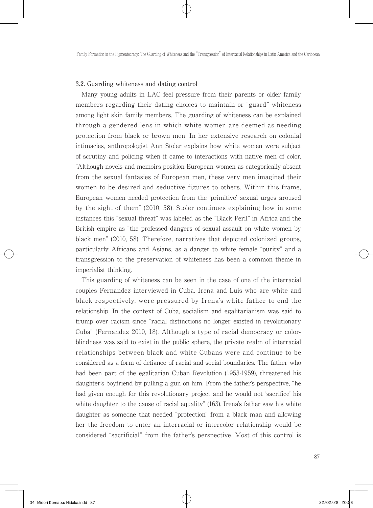#### 3.2. Guarding whiteness and dating control

 Many young adults in LAC feel pressure from their parents or older family members regarding their dating choices to maintain or "guard" whiteness among light skin family members. The guarding of whiteness can be explained through a gendered lens in which white women are deemed as needing protection from black or brown men. In her extensive research on colonial intimacies, anthropologist Ann Stoler explains how white women were subject of scrutiny and policing when it came to interactions with native men of color. "Although novels and memoirs position European women as categorically absent from the sexual fantasies of European men, these very men imagined their women to be desired and seductive figures to others. Within this frame, European women needed protection from the 'primitive' sexual urges aroused by the sight of them" (2010, 58). Stoler continues explaining how in some instances this "sexual threat" was labeled as the "Black Peril" in Africa and the British empire as "the professed dangers of sexual assault on white women by black men" (2010, 58). Therefore, narratives that depicted colonized groups, particularly Africans and Asians, as a danger to white female "purity" and a transgression to the preservation of whiteness has been a common theme in imperialist thinking.

 This guarding of whiteness can be seen in the case of one of the interracial couples Fernandez interviewed in Cuba. Irena and Luis who are white and black respectively, were pressured by Irena's white father to end the relationship. In the context of Cuba, socialism and egalitarianism was said to trump over racism since "racial distinctions no longer existed in revolutionary Cuba" (Fernandez 2010, 18). Although a type of racial democracy or colorblindness was said to exist in the public sphere, the private realm of interracial relationships between black and white Cubans were and continue to be considered as a form of defiance of racial and social boundaries. The father who had been part of the egalitarian Cuban Revolution (1953-1959), threatened his daughter's boyfriend by pulling a gun on him. From the father's perspective, "he had given enough for this revolutionary project and he would not 'sacrifice' his white daughter to the cause of racial equality" (163). Irena's father saw his white daughter as someone that needed "protection" from a black man and allowing her the freedom to enter an interracial or intercolor relationship would be considered "sacrificial" from the father's perspective. Most of this control is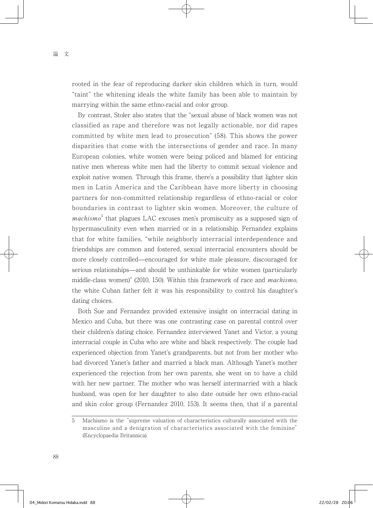rooted in the fear of reproducing darker skin children which in turn, would "taint" the whitening ideals the white family has been able to maintain by marrying within the same ethno-racial and color group.

 By contrast, Stoler also states that the "sexual abuse of black women was not classified as rape and therefore was not legally actionable, nor did rapes committed by white men lead to prosecution" (58). This shows the power disparities that come with the intersections of gender and race. In many European colonies, white women were being policed and blamed for enticing native men whereas white men had the liberty to commit sexual violence and exploit native women. Through this frame, there's a possibility that lighter skin men in Latin America and the Caribbean have more liberty in choosing partners for non-committed relationship regardless of ethno-racial or color boundaries in contrast to lighter skin women. Moreover, the culture of  $machismo<sup>5</sup>$  that plagues LAC excuses men's promiscuity as a supposed sign of hypermasculinity even when married or in a relationship. Fernandez explains that for white families, "while neighborly interracial interdependence and friendships are common and fostered, sexual interracial encounters should be more closely controlled—encouraged for white male pleasure, discouraged for serious relationships—and should be unthinkable for white women (particularly middle-class women)" (2010, 150). Within this framework of race and *machismo*, the white Cuban father felt it was his responsibility to control his daughter's dating choices.

 Both Sue and Fernandez provided extensive insight on interracial dating in Mexico and Cuba, but there was one contrasting case on parental control over their children's dating choice. Fernandez interviewed Yanet and Victor, a young interracial couple in Cuba who are white and black respectively. The couple had experienced objection from Yanet's grandparents, but not from her mother who had divorced Yanet's father and married a black man. Although Yanet's mother experienced the rejection from her own parents, she went on to have a child with her new partner. The mother who was herself intermarried with a black husband, was open for her daughter to also date outside her own ethno-racial and skin color group (Fernandez 2010, 153). It seems then, that if a parental

<sup>5</sup> Machismo is the "supreme valuation of characteristics culturally associated with the masculine and a denigration of characteristics associated with the feminine" (Encyclopaedia Britannica).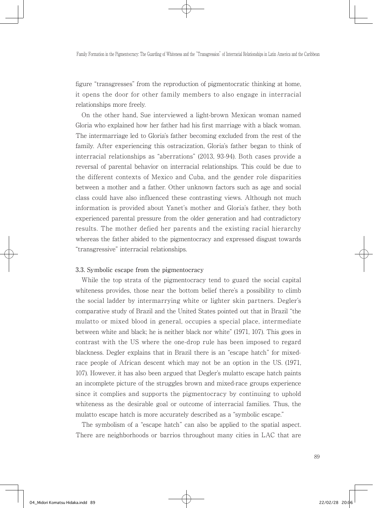figure "transgresses" from the reproduction of pigmentocratic thinking at home, it opens the door for other family members to also engage in interracial relationships more freely.

 On the other hand, Sue interviewed a light-brown Mexican woman named Gloria who explained how her father had his first marriage with a black woman. The intermarriage led to Gloria's father becoming excluded from the rest of the family. After experiencing this ostracization, Gloria's father began to think of interracial relationships as "aberrations" (2013, 93-94). Both cases provide a reversal of parental behavior on interracial relationships. This could be due to the different contexts of Mexico and Cuba, and the gender role disparities between a mother and a father. Other unknown factors such as age and social class could have also influenced these contrasting views. Although not much information is provided about Yanet's mother and Gloria's father, they both experienced parental pressure from the older generation and had contradictory results. The mother defied her parents and the existing racial hierarchy whereas the father abided to the pigmentocracy and expressed disgust towards "transgressive" interracial relationships.

#### 3.3. Symbolic escape from the pigmentocracy

 While the top strata of the pigmentocracy tend to guard the social capital whiteness provides, those near the bottom belief there's a possibility to climb the social ladder by intermarrying white or lighter skin partners. Degler's comparative study of Brazil and the United States pointed out that in Brazil "the mulatto or mixed blood in general, occupies a special place, intermediate between white and black; he is neither black nor white" (1971, 107). This goes in contrast with the US where the one-drop rule has been imposed to regard blackness. Degler explains that in Brazil there is an "escape hatch" for mixedrace people of African descent which may not be an option in the US. (1971, 107). However, it has also been argued that Degler's mulatto escape hatch paints an incomplete picture of the struggles brown and mixed-race groups experience since it complies and supports the pigmentocracy by continuing to uphold whiteness as the desirable goal or outcome of interracial families. Thus, the mulatto escape hatch is more accurately described as a "symbolic escape."

 The symbolism of a "escape hatch" can also be applied to the spatial aspect. There are neighborhoods or barrios throughout many cities in LAC that are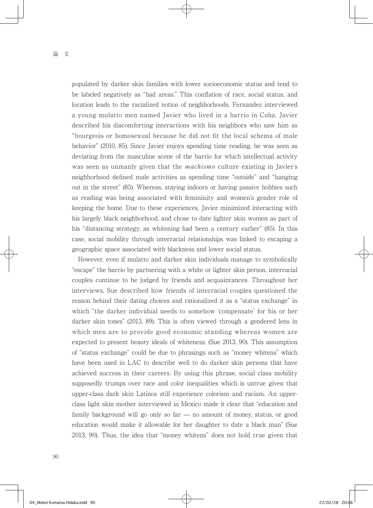populated by darker skin families with lower socioeconomic status and tend to be labeled negatively as "bad areas." This conflation of race, social status, and location leads to the racialized notion of neighborhoods. Fernandez interviewed a young mulatto men named Javier who lived in a barrio in Cuba. Javier described his discomforting interactions with his neighbors who saw him as "bourgeois or homosexual because he did not fit the local schema of male behavior" (2010, 85). Since Javier enjoys spending time reading, he was seen as deviating from the masculine scene of the barrio for which intellectual activity was seen as unmanly given that the *machismo* culture existing in Javier's neighborhood defined male activities as spending time "outside" and "hanging out in the street" (85). Whereas, staying indoors or having passive hobbies such as reading was being associated with femininity and women's gender role of keeping the home. Due to these experiences, Javier minimized interacting with his largely black neighborhood, and chose to date lighter skin women as part of his "distancing strategy, as whitening had been a century earlier" (85). In this case, social mobility through interracial relationships was linked to escaping a geographic space associated with blackness and lower social status.

 However, even if mulatto and darker skin individuals manage to symbolically "escape" the barrio by partnering with a white or lighter skin person, interracial couples continue to be judged by friends and acquaintances. Throughout her interviews, Sue described how friends of interracial couples questioned the reason behind their dating choices and rationalized it as a "status exchange" in which "the darker individual needs to somehow 'compensate' for his or her darker skin tones" (2013, 89). This is often viewed through a gendered lens in which men are to provide good economic standing whereas women are expected to present beauty ideals of whiteness. (Sue 2013, 90). This assumption of "status exchange" could be due to phrasings such as "money whitens" which have been used in LAC to describe well to do darker skin persons that have achieved success in their careers. By using this phrase, social class mobility supposedly trumps over race and color inequalities which is untrue given that upper-class dark skin Latinos still experience colorism and racism. An upperclass light skin mother interviewed in Mexico made it clear that "education and family background will go only so far ̶ no amount of money, status, or good education would make it allowable for her daughter to date a black man" (Sue 2013, 90). Thus, the idea that "money whitens" does not hold true given that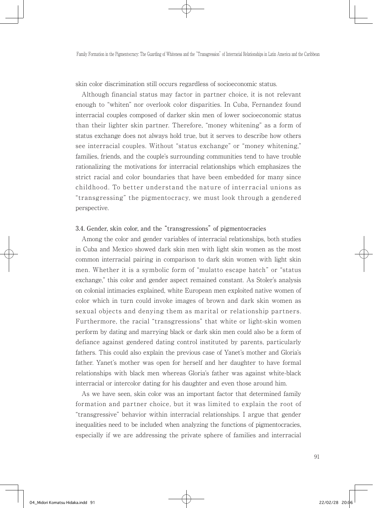skin color discrimination still occurs regardless of socioeconomic status.

 Although financial status may factor in partner choice, it is not relevant enough to "whiten" nor overlook color disparities. In Cuba, Fernandez found interracial couples composed of darker skin men of lower socioeconomic status than their lighter skin partner. Therefore, "money whitening" as a form of status exchange does not always hold true, but it serves to describe how others see interracial couples. Without "status exchange" or "money whitening," families, friends, and the couple's surrounding communities tend to have trouble rationalizing the motivations for interracial relationships which emphasizes the strict racial and color boundaries that have been embedded for many since childhood. To better understand the nature of interracial unions as "transgressing" the pigmentocracy, we must look through a gendered perspective.

#### 3.4. Gender, skin color, and the "transgressions" of pigmentocracies

 Among the color and gender variables of interracial relationships, both studies in Cuba and Mexico showed dark skin men with light skin women as the most common interracial pairing in comparison to dark skin women with light skin men. Whether it is a symbolic form of "mulatto escape hatch" or "status exchange," this color and gender aspect remained constant. As Stoler's analysis on colonial intimacies explained, white European men exploited native women of color which in turn could invoke images of brown and dark skin women as sexual objects and denying them as marital or relationship partners. Furthermore, the racial "transgressions" that white or light-skin women perform by dating and marrying black or dark skin men could also be a form of defiance against gendered dating control instituted by parents, particularly fathers. This could also explain the previous case of Yanet's mother and Gloria's father. Yanet's mother was open for herself and her daughter to have formal relationships with black men whereas Gloria's father was against white-black interracial or intercolor dating for his daughter and even those around him.

 As we have seen, skin color was an important factor that determined family formation and partner choice, but it was limited to explain the root of "transgressive" behavior within interracial relationships. I argue that gender inequalities need to be included when analyzing the functions of pigmentocracies, especially if we are addressing the private sphere of families and interracial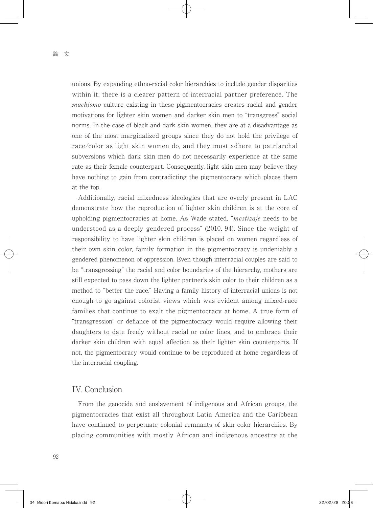unions. By expanding ethno-racial color hierarchies to include gender disparities within it, there is a clearer pattern of interracial partner preference. The machismo culture existing in these pigmentocracies creates racial and gender motivations for lighter skin women and darker skin men to "transgress" social norms. In the case of black and dark skin women, they are at a disadvantage as one of the most marginalized groups since they do not hold the privilege of race/color as light skin women do, and they must adhere to patriarchal subversions which dark skin men do not necessarily experience at the same rate as their female counterpart. Consequently, light skin men may believe they have nothing to gain from contradicting the pigmentocracy which places them at the top.

 Additionally, racial mixedness ideologies that are overly present in LAC demonstrate how the reproduction of lighter skin children is at the core of upholding pigmentocracies at home. As Wade stated, "*mestizaje* needs to be understood as a deeply gendered process" (2010, 94). Since the weight of responsibility to have lighter skin children is placed on women regardless of their own skin color, family formation in the pigmentocracy is undeniably a gendered phenomenon of oppression. Even though interracial couples are said to be "transgressing" the racial and color boundaries of the hierarchy, mothers are still expected to pass down the lighter partner's skin color to their children as a method to "better the race." Having a family history of interracial unions is not enough to go against colorist views which was evident among mixed-race families that continue to exalt the pigmentocracy at home. A true form of "transgression" or defiance of the pigmentocracy would require allowing their daughters to date freely without racial or color lines, and to embrace their darker skin children with equal affection as their lighter skin counterparts. If not, the pigmentocracy would continue to be reproduced at home regardless of the interracial coupling.

## IV. Conclusion

 From the genocide and enslavement of indigenous and African groups, the pigmentocracies that exist all throughout Latin America and the Caribbean have continued to perpetuate colonial remnants of skin color hierarchies. By placing communities with mostly African and indigenous ancestry at the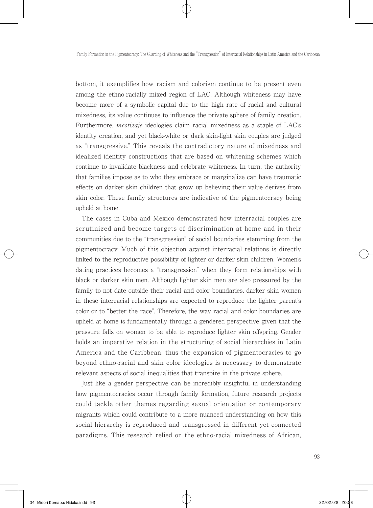bottom, it exemplifies how racism and colorism continue to be present even among the ethno-racially mixed region of LAC. Although whiteness may have become more of a symbolic capital due to the high rate of racial and cultural mixedness, its value continues to influence the private sphere of family creation. Furthermore, mestizaje ideologies claim racial mixedness as a staple of LAC's identity creation, and yet black-white or dark skin-light skin couples are judged as "transgressive." This reveals the contradictory nature of mixedness and idealized identity constructions that are based on whitening schemes which continue to invalidate blackness and celebrate whiteness. In turn, the authority that families impose as to who they embrace or marginalize can have traumatic effects on darker skin children that grow up believing their value derives from skin color. These family structures are indicative of the pigmentocracy being upheld at home.

 The cases in Cuba and Mexico demonstrated how interracial couples are scrutinized and become targets of discrimination at home and in their communities due to the "transgression" of social boundaries stemming from the pigmentocracy. Much of this objection against interracial relations is directly linked to the reproductive possibility of lighter or darker skin children. Women's dating practices becomes a "transgression" when they form relationships with black or darker skin men. Although lighter skin men are also pressured by the family to not date outside their racial and color boundaries, darker skin women in these interracial relationships are expected to reproduce the lighter parent's color or to "better the race". Therefore, the way racial and color boundaries are upheld at home is fundamentally through a gendered perspective given that the pressure falls on women to be able to reproduce lighter skin offspring. Gender holds an imperative relation in the structuring of social hierarchies in Latin America and the Caribbean, thus the expansion of pigmentocracies to go beyond ethno-racial and skin color ideologies is necessary to demonstrate relevant aspects of social inequalities that transpire in the private sphere.

 Just like a gender perspective can be incredibly insightful in understanding how pigmentocracies occur through family formation, future research projects could tackle other themes regarding sexual orientation or contemporary migrants which could contribute to a more nuanced understanding on how this social hierarchy is reproduced and transgressed in different yet connected paradigms. This research relied on the ethno-racial mixedness of African,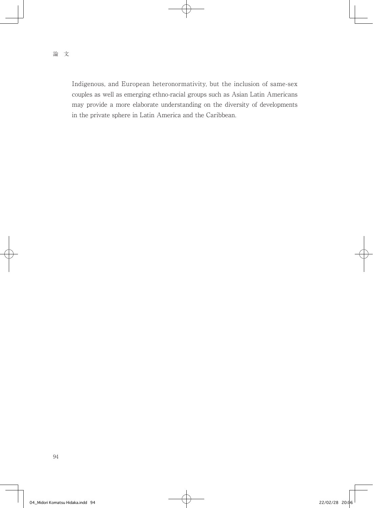Indigenous, and European heteronormativity, but the inclusion of same-sex couples as well as emerging ethno-racial groups such as Asian Latin Americans may provide a more elaborate understanding on the diversity of developments in the private sphere in Latin America and the Caribbean.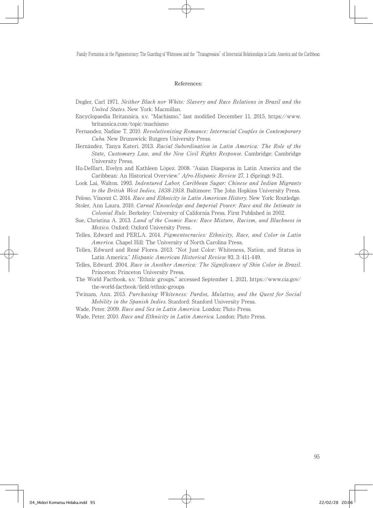Family Formation in the Pigmentocracy: The Guarding of Whiteness and the "Transgression" of Interracial Relationships in Latin America and the Caribbean

#### References:

- Degler, Carl 1971. Neither Black nor White: Slavery and Race Relations in Brazil and the United States. New York: Macmillan.
- Encyclopaedia Britannica, s.v. "Machismo," last modified December 11, 2015, https://www. britannica.com/topic/machismo
- Fernandez, Nadine T. 2010. Revolutionizing Romance: Interracial Couples in Contemporary Cuba. New Brunswick: Rutgers University Press.
- Hernández, Tanya Kateri. 2013. Racial Subordination in Latin America: The Role of the State, Customary Law, and the New Civil Rights Response. Cambridge: Cambridge University Press.
- Hu-DeHart, Evelyn and Kathleen López. 2008. "Asian Diasporas in Latin America and the Caribbean: An Historical Overview." Afro-Hispanic Review 27, 1 (Spring): 9-21.
- Look Lai, Walton. 1993. Indentured Labor, Caribbean Sugar: Chinese and Indian Migrants to the British West Indies, 1838-1918. Baltimore: The John Hopkins University Press.

Peloso, Vincent C. 2014. Race and Ethnicity in Latin American History. New York: Routledge.

- Stoler, Ann Laura. 2010. Carnal Knowledge and Imperial Power: Race and the Intimate in Colonial Rule. Berkeley: University of California Press. First Published in 2002.
- Sue, Christina A. 2013. Land of the Cosmic Race: Race Mixture, Racism, and Blackness in Mexico. Oxford: Oxford University Press.
- Telles, Edward and PERLA. 2014. Pigmentocracies: Ethnicity, Race, and Color in Latin America. Chapel Hill: The University of North Carolina Press.
- Telles, Edward and René Flores. 2013. "Not Just Color: Whiteness, Nation, and Status in Latin America." Hispanic American Historical Review 93, 3: 411-449.
- Telles, Edward. 2004. Race in Another America: The Significance of Skin Color in Brazil. Princeton: Princeton University Press.
- The World Factbook, s.v. "Ethnic groups," accessed September 1, 2021, https://www.cia.gov/ the-world-factbook/field/ethnic-groups
- Twinam, Ann. 2015. Purchasing Whiteness: Pardos, Mulattos, and the Quest for Social Mobility in the Spanish Indies. Stanford: Stanford University Press.
- Wade, Peter. 2009. Race and Sex in Latin America. London: Pluto Press.
- Wade, Peter. 2010. Race and Ethnicity in Latin America. London: Pluto Press.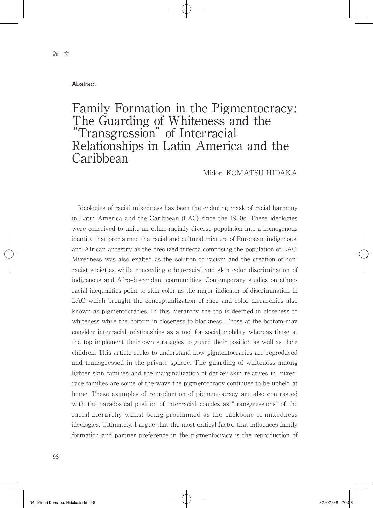#### **Abstract**

# Family Formation in the Pigmentocracy: The Guarding of Whiteness and the "Transgression" of Interracial Relationships in Latin America and the Caribbean

Midori KOMATSU HIDAKA

 Ideologies of racial mixedness has been the enduring mask of racial harmony in Latin America and the Caribbean (LAC) since the 1920s. These ideologies were conceived to unite an ethno-racially diverse population into a homogenous identity that proclaimed the racial and cultural mixture of European, indigenous, and African ancestry as the creolized trifecta composing the population of LAC. Mixedness was also exalted as the solution to racism and the creation of nonracist societies while concealing ethno-racial and skin color discrimination of indigenous and Afro-descendant communities. Contemporary studies on ethnoracial inequalities point to skin color as the major indicator of discrimination in LAC which brought the conceptualization of race and color hierarchies also known as pigmentocracies. In this hierarchy the top is deemed in closeness to whiteness while the bottom in closeness to blackness. Those at the bottom may consider interracial relationships as a tool for social mobility whereas those at the top implement their own strategies to guard their position as well as their children. This article seeks to understand how pigmentocracies are reproduced and transgressed in the private sphere. The guarding of whiteness among lighter skin families and the marginalization of darker skin relatives in mixedrace families are some of the ways the pigmentocracy continues to be upheld at home. These examples of reproduction of pigmentocracy are also contrasted with the paradoxical position of interracial couples as "transgressions" of the racial hierarchy whilst being proclaimed as the backbone of mixedness ideologies. Ultimately, I argue that the most critical factor that influences family formation and partner preference in the pigmentocracy is the reproduction of